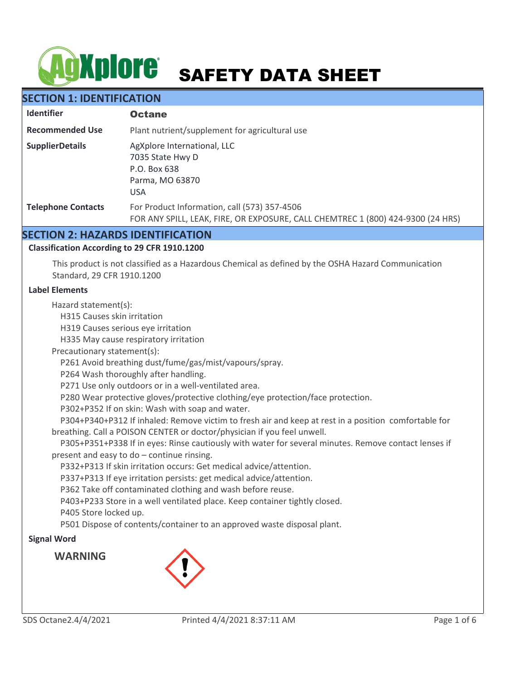# **AgXplore** SAFETY DATA SHEET

# **SECTION 1: IDENTIFICATION**

| <b>Identifier</b>         | <b>Octane</b>                                                                                                                   |
|---------------------------|---------------------------------------------------------------------------------------------------------------------------------|
| <b>Recommended Use</b>    | Plant nutrient/supplement for agricultural use                                                                                  |
| <b>SupplierDetails</b>    | AgXplore International, LLC<br>7035 State Hwy D<br>P.O. Box 638<br>Parma, MO 63870<br><b>USA</b>                                |
| <b>Telephone Contacts</b> | For Product Information, call (573) 357-4506<br>FOR ANY SPILL, LEAK, FIRE, OR EXPOSURE, CALL CHEMTREC 1 (800) 424-9300 (24 HRS) |

# **SECTION 2: HAZARDS IDENTIFICATION**

#### **Classification According to 29 CFR 1910.1200**

This product is not classified as a Hazardous Chemical as defined by the OSHA Hazard Communication Standard, 29 CFR 1910.1200

#### **Label Elements**

Hazard statement(s):

H315 Causes skin irritation

H319 Causes serious eye irritation

H335 May cause respiratory irritation

Precautionary statement(s):

P261 Avoid breathing dust/fume/gas/mist/vapours/spray.

P264 Wash thoroughly after handling.

P271 Use only outdoors or in a well-ventilated area.

P280 Wear protective gloves/protective clothing/eye protection/face protection.

P302+P352 If on skin: Wash with soap and water.

 P304+P340+P312 If inhaled: Remove victim to fresh air and keep at rest in a position comfortable for breathing. Call a POISON CENTER or doctor/physician if you feel unwell.

 P305+P351+P338 If in eyes: Rinse cautiously with water for several minutes. Remove contact lenses if present and easy to do – continue rinsing.

P332+P313 If skin irritation occurs: Get medical advice/attention.

P337+P313 If eye irritation persists: get medical advice/attention.

P362 Take off contaminated clothing and wash before reuse.

P403+P233 Store in a well ventilated place. Keep container tightly closed.

P405 Store locked up.

P501 Dispose of contents/container to an approved waste disposal plant.

#### **Signal Word**

**WARNING**

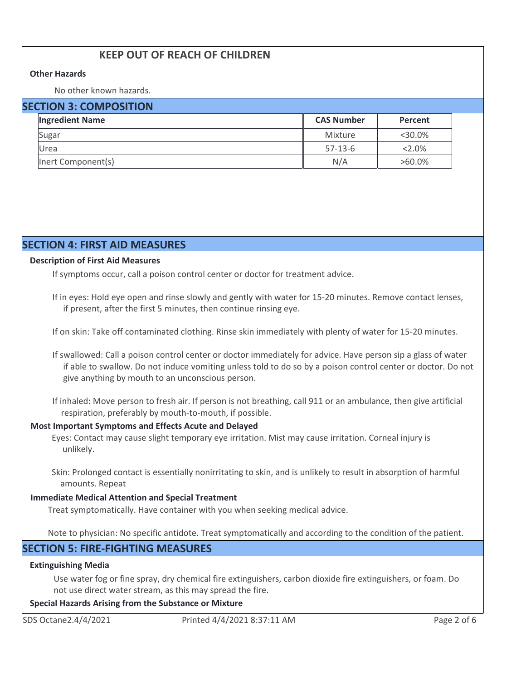# **KEEP OUT OF REACH OF CHILDREN**

#### **Other Hazards**

No other known hazards.

#### **SECTION 3: COMPOSITION**

| <b>Ingredient Name</b> | <b>CAS Number</b> |           |  |
|------------------------|-------------------|-----------|--|
| Sugar                  | Mixture           | $<30.0\%$ |  |
| Urea                   | $57-13-6$         | $2.0\%$   |  |
| Inert Component(s)     | N/A               | $>60.0\%$ |  |

# **SECTION 4: FIRST AID MEASURES**

#### **Description of First Aid Measures**

If symptoms occur, call a poison control center or doctor for treatment advice.

If in eyes: Hold eye open and rinse slowly and gently with water for 15-20 minutes. Remove contact lenses, if present, after the first 5 minutes, then continue rinsing eye.

If on skin: Take off contaminated clothing. Rinse skin immediately with plenty of water for 15-20 minutes.

If swallowed: Call a poison control center or doctor immediately for advice. Have person sip a glass of water if able to swallow. Do not induce vomiting unless told to do so by a poison control center or doctor. Do not give anything by mouth to an unconscious person.

If inhaled: Move person to fresh air. If person is not breathing, call 911 or an ambulance, then give artificial respiration, preferably by mouth-to-mouth, if possible.

#### **Most Important Symptoms and Effects Acute and Delayed**

Eyes: Contact may cause slight temporary eye irritation. Mist may cause irritation. Corneal injury is unlikely.

Skin: Prolonged contact is essentially nonirritating to skin, and is unlikely to result in absorption of harmful amounts. Repeat

#### **Immediate Medical Attention and Special Treatment**

Treat symptomatically. Have container with you when seeking medical advice.

Note to physician: No specific antidote. Treat symptomatically and according to the condition of the patient.

# **SECTION 5: FIRE-FIGHTING MEASURES**

#### **Extinguishing Media**

Use water fog or fine spray, dry chemical fire extinguishers, carbon dioxide fire extinguishers, or foam. Do not use direct water stream, as this may spread the fire.

#### **Special Hazards Arising from the Substance or Mixture**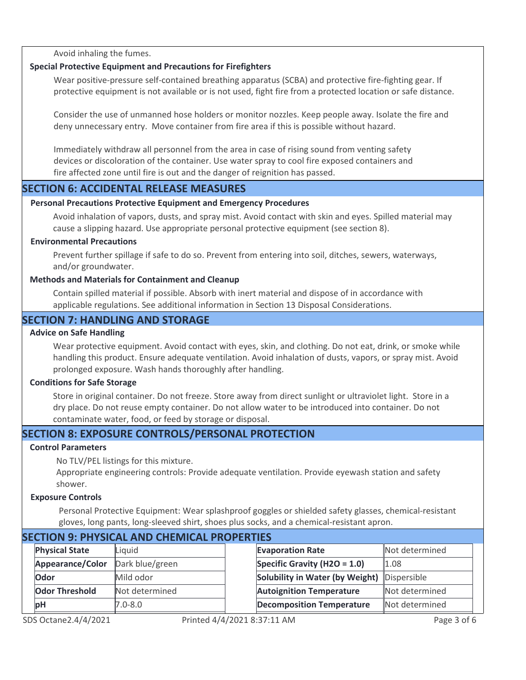Avoid inhaling the fumes.

#### **Special Protective Equipment and Precautions for Firefighters**

Wear positive-pressure self-contained breathing apparatus (SCBA) and protective fire-fighting gear. If protective equipment is not available or is not used, fight fire from a protected location or safe distance.

Consider the use of unmanned hose holders or monitor nozzles. Keep people away. Isolate the fire and deny unnecessary entry. Move container from fire area if this is possible without hazard.

Immediately withdraw all personnel from the area in case of rising sound from venting safety devices or discoloration of the container. Use water spray to cool fire exposed containers and fire affected zone until fire is out and the danger of reignition has passed.

## **SECTION 6: ACCIDENTAL RELEASE MEASURES**

#### **Personal Precautions Protective Equipment and Emergency Procedures**

Avoid inhalation of vapors, dusts, and spray mist. Avoid contact with skin and eyes. Spilled material may cause a slipping hazard. Use appropriate personal protective equipment (see section 8).

#### **Environmental Precautions**

Prevent further spillage if safe to do so. Prevent from entering into soil, ditches, sewers, waterways, and/or groundwater.

#### **Methods and Materials for Containment and Cleanup**

Contain spilled material if possible. Absorb with inert material and dispose of in accordance with applicable regulations. See additional information in Section 13 Disposal Considerations.

# **SECTION 7: HANDLING AND STORAGE**

#### **Advice on Safe Handling**

Wear protective equipment. Avoid contact with eyes, skin, and clothing. Do not eat, drink, or smoke while handling this product. Ensure adequate ventilation. Avoid inhalation of dusts, vapors, or spray mist. Avoid prolonged exposure. Wash hands thoroughly after handling.

#### **Conditions for Safe Storage**

Store in original container. Do not freeze. Store away from direct sunlight or ultraviolet light. Store in a dry place. Do not reuse empty container. Do not allow water to be introduced into container. Do not contaminate water, food, or feed by storage or disposal.

# **SECTION 8: EXPOSURE CONTROLS/PERSONAL PROTECTION**

# **Control Parameters**

No TLV/PEL listings for this mixture.

Appropriate engineering controls: Provide adequate ventilation. Provide eyewash station and safety shower.

# **Exposure Controls**

Personal Protective Equipment: Wear splashproof goggles or shielded safety glasses, chemical-resistant gloves, long pants, long-sleeved shirt, shoes plus socks, and a chemical-resistant apron.

| SECTION 9: PHYSICAL AND CHEMICAL PROPERTIES |                 |  |                                  |                |  |  |  |
|---------------------------------------------|-----------------|--|----------------------------------|----------------|--|--|--|
| <b>Physical State</b>                       | Liquid          |  | <b>Evaporation Rate</b>          | Not determined |  |  |  |
| Appearance/Color                            | Dark blue/green |  | Specific Gravity (H2O = $1.0$ )  | 1.08           |  |  |  |
| <b>Odor</b>                                 | Mild odor       |  | Solubility in Water (by Weight)  | Dispersible    |  |  |  |
| <b>Odor Threshold</b>                       | Not determined  |  | <b>Autoignition Temperature</b>  | Not determined |  |  |  |
| <b>bH</b>                                   | $7.0 - 8.0$     |  | <b>Decomposition Temperature</b> | Not determined |  |  |  |
|                                             |                 |  |                                  |                |  |  |  |

# **SECTION 9: PHYSICAL AND CHEMICAL PROPERTIES**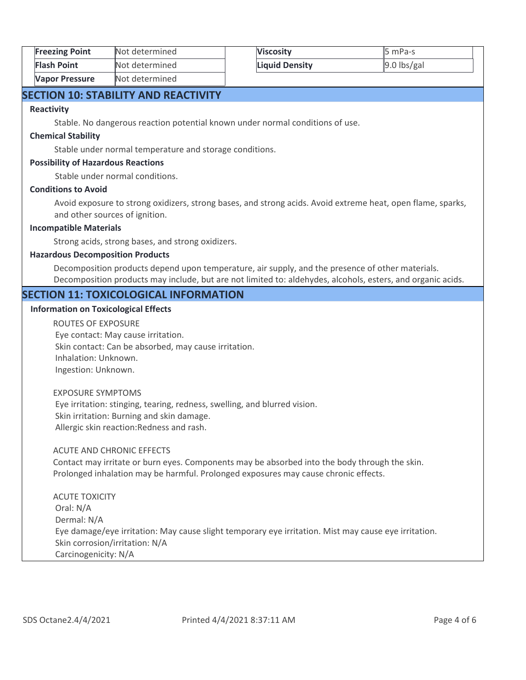| <b>Freezing Point</b> | Not determined | <b>Viscosity</b> | 5 mPa-s       |
|-----------------------|----------------|------------------|---------------|
| <b>Flash Point</b>    | Not determined | Liquid Density   | $9.0$ lbs/gal |
| Vapor Pressure        | Not determined |                  |               |

# **SECTION 10: STABILITY AND REACTIVITY**

#### **Reactivity**

Stable. No dangerous reaction potential known under normal conditions of use.

#### **Chemical Stability**

Stable under normal temperature and storage conditions.

#### **Possibility of Hazardous Reactions**

Stable under normal conditions.

#### **Conditions to Avoid**

Avoid exposure to strong oxidizers, strong bases, and strong acids. Avoid extreme heat, open flame, sparks, and other sources of ignition.

#### **Incompatible Materials**

Strong acids, strong bases, and strong oxidizers.

#### **Hazardous Decomposition Products**

Decomposition products depend upon temperature, air supply, and the presence of other materials. Decomposition products may include, but are not limited to: aldehydes, alcohols, esters, and organic acids.

#### **SECTION 11: TOXICOLOGICAL INFORMATION**

#### **Information on Toxicological Effects**

ROUTES OF EXPOSURE Eye contact: May cause irritation. Skin contact: Can be absorbed, may cause irritation. Inhalation: Unknown. Ingestion: Unknown.

#### EXPOSURE SYMPTOMS Eye irritation: stinging, tearing, redness, swelling, and blurred vision. Skin irritation: Burning and skin damage. Allergic skin reaction:Redness and rash.

#### ACUTE AND CHRONIC EFFECTS

Contact may irritate or burn eyes. Components may be absorbed into the body through the skin. Prolonged inhalation may be harmful. Prolonged exposures may cause chronic effects.

# ACUTE TOXICITY Oral: N/A Dermal: N/A Eye damage/eye irritation: May cause slight temporary eye irritation. Mist may cause eye irritation. Skin corrosion/irritation: N/A Carcinogenicity: N/A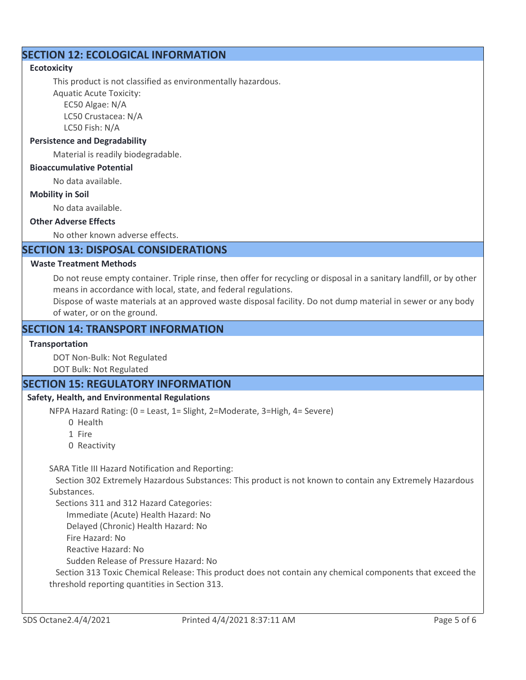# **SECTION 12: ECOLOGICAL INFORMATION**

#### **Ecotoxicity**

This product is not classified as environmentally hazardous.

Aquatic Acute Toxicity: EC50 Algae: N/A

 LC50 Crustacea: N/A LC50 Fish: N/A

# **Persistence and Degradability**

Material is readily biodegradable.

#### **Bioaccumulative Potential**

No data available.

#### **Mobility in Soil**

No data available.

#### **Other Adverse Effects**

No other known adverse effects.

# **SECTION 13: DISPOSAL CONSIDERATIONS**

#### **Waste Treatment Methods**

Do not reuse empty container. Triple rinse, then offer for recycling or disposal in a sanitary landfill, or by other means in accordance with local, state, and federal regulations.

Dispose of waste materials at an approved waste disposal facility. Do not dump material in sewer or any body of water, or on the ground.

# **SECTION 14: TRANSPORT INFORMATION**

#### **Transportation**

DOT Non-Bulk: Not Regulated

DOT Bulk: Not Regulated

# **SECTION 15: REGULATORY INFORMATION**

#### **Safety, Health, and Environmental Regulations**

NFPA Hazard Rating: (0 = Least, 1= Slight, 2=Moderate, 3=High, 4= Severe)

- 0 Health
- 1 Fire
- 0 Reactivity

SARA Title III Hazard Notification and Reporting:

 Section 302 Extremely Hazardous Substances: This product is not known to contain any Extremely Hazardous Substances.

Sections 311 and 312 Hazard Categories:

Immediate (Acute) Health Hazard: No

Delayed (Chronic) Health Hazard: No

Fire Hazard: No

Reactive Hazard: No

Sudden Release of Pressure Hazard: No

 Section 313 Toxic Chemical Release: This product does not contain any chemical components that exceed the threshold reporting quantities in Section 313.